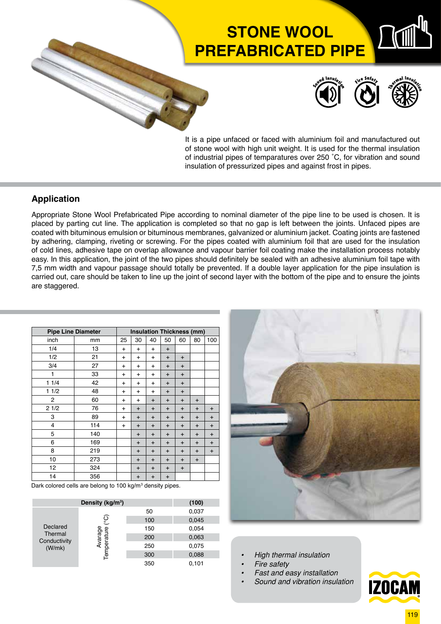# **STONE WOOL PREFABRICATED PIPE**



It is a pipe unfaced or faced with aluminium foil and manufactured out of stone wool with high unit weight. It is used for the thermal insulation of industrial pipes of temparatures over 250 ˚C, for vibration and sound insulation of pressurized pipes and against frost in pipes.

### **Application**

Appropriate Stone Wool Prefabricated Pipe according to nominal diameter of the pipe line to be used is chosen. It is placed by parting cut line. The application is completed so that no gap is left between the joints. Unfaced pipes are coated with bituminous emulsion or bituminous membranes, galvanized or aluminium jacket. Coating joints are fastened by adhering, clamping, riveting or screwing. For the pipes coated with aluminium foil that are used for the insulation of cold lines, adhesive tape on overlap allowance and vapour barrier foil coating make the installation process notably easy. In this application, the joint of the two pipes should definitely be sealed with an adhesive aluminium foil tape with 7,5 mm width and vapour passage should totally be prevented. If a double layer application for the pipe insulation is carried out, care should be taken to line up the joint of second layer with the bottom of the pipe and to ensure the joints are staggered.

| <b>Pipe Line Diameter</b> | <b>Insulation Thickness (mm)</b> |           |           |           |           |             |           |           |  |  |  |
|---------------------------|----------------------------------|-----------|-----------|-----------|-----------|-------------|-----------|-----------|--|--|--|
| inch                      | mm                               | 25        | 30        | 40        | 50        | 60          | 80        | 100       |  |  |  |
| 1/4                       | 13                               | $\ddot{}$ | $\ddot{}$ | $\ddot{}$ | $\ddot{}$ |             |           |           |  |  |  |
| 1/2                       | 21                               | $\ddot{}$ | $\ddot{}$ | $\ddot{}$ | $\ddot{}$ | $\ddot{}$   |           |           |  |  |  |
| 3/4                       | 27                               | $\ddot{}$ | $\ddot{}$ | $\ddot{}$ | $\ddot{}$ | $\ddot{}$   |           |           |  |  |  |
| 1                         | 33                               | $\ddot{}$ | $\ddot{}$ | $\ddot{}$ | $\ddot{}$ | $\ddot{}$   |           |           |  |  |  |
| 11/4                      | 42                               | $\ddot{}$ | $\ddot{}$ | $\ddot{}$ | $\ddot{}$ | $\ddot{}$   |           |           |  |  |  |
| 11/2                      | 48                               | $\ddot{}$ | $\ddot{}$ | $\ddot{}$ | $\ddot{}$ | $\ddot{}$   |           |           |  |  |  |
| $\overline{2}$            | 60                               | $\ddot{}$ | $\ddot{}$ | $\ddot{}$ | $\ddot{}$ | $\ddot{}$   | $\ddot{}$ |           |  |  |  |
| 21/2                      | 76                               | $\ddot{}$ | $\ddot{}$ | $\ddot{}$ | $\ddot{}$ | $\ddot{}$   | $\ddot{}$ | $\ddot{}$ |  |  |  |
| 3                         | 89                               | $\ddot{}$ | $\ddot{}$ | $\ddot{}$ | $\ddot{}$ | $\ddot{}$   | $\ddot{}$ | $\ddot{}$ |  |  |  |
| 4                         | 114                              | $\ddot{}$ | $\ddot{}$ | $\ddot{}$ | $\ddot{}$ | $\ddot{}$   | $\ddot{}$ | $\ddot{}$ |  |  |  |
| 5                         | 140                              |           | $\ddot{}$ | $\ddot{}$ | $\ddot{}$ | $\ddot{}$   | $\ddot{}$ | $\ddot{}$ |  |  |  |
| 6                         | 169                              |           | $\ddot{}$ | $\ddot{}$ | $\ddot{}$ | $\ddot{}$   | $\ddot{}$ | $\ddot{}$ |  |  |  |
| 8                         | 219                              |           | $\ddot{}$ | $\ddot{}$ | $\ddot{}$ | $\ddot{}$   | $\ddot{}$ | $\ddot{}$ |  |  |  |
| 10                        | 273                              |           | $\ddot{}$ | $\ddot{}$ | $\ddot{}$ | $\mathbf +$ | $\ddot{}$ |           |  |  |  |
| 12                        | 324                              |           | $\ddot{}$ | $\ddot{}$ | $\ddot{}$ | $\ddot{}$   |           |           |  |  |  |
| 14                        | 356                              |           | $\ddot{}$ | $\ddot{}$ | $\ddot{}$ |             |           |           |  |  |  |

Dark colored cells are belong to 100 kg/m<sup>3</sup> density pipes.

|                                     | (100)                                 |     |       |  |
|-------------------------------------|---------------------------------------|-----|-------|--|
| Declared<br>Thermal<br>Conductivity |                                       | 50  | 0,037 |  |
|                                     | <u>(</u> ၁၀<br>Avarage<br>Temperature | 100 | 0,045 |  |
|                                     |                                       | 150 | 0,054 |  |
|                                     |                                       | 200 | 0,063 |  |
| (W/mk)                              |                                       | 250 | 0,075 |  |
|                                     |                                       | 300 | 0,088 |  |
|                                     |                                       | 350 | 0,101 |  |



- *• High thermal insulation*
- *• Fire safety*
- *• Fast and easy installation*
- *• Sound and vibration insulation*